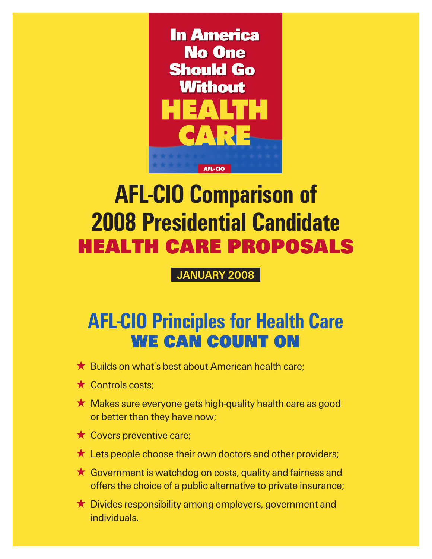

## AFL-CIO Comparison of 2008 Presidential Candidate Health Care Proposals

January 2008

## AFL-CIO Principles for Health Care We Can Count On

- $\bigstar$  Builds on what's best about American health care;
- $\star$  Controls costs:
- $\star$  Makes sure everyone gets high-quality health care as good or better than they have now;
- $\star$  Covers preventive care;
- $\star$  Lets people choose their own doctors and other providers;
- $\star$  Government is watchdog on costs, quality and fairness and offers the choice of a public alternative to private insurance;
- $\star$  Divides responsibility among employers, government and individuals.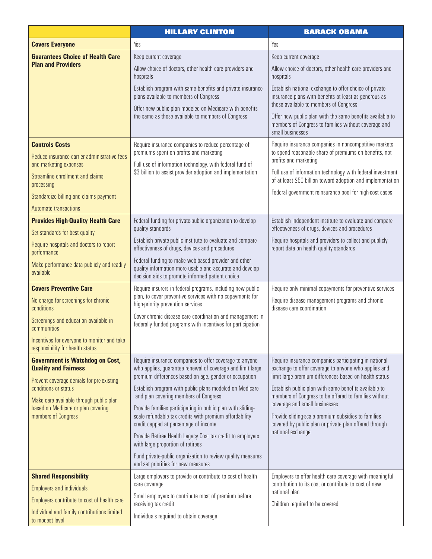|                                                                                                                              | <b>HILLARY CLINTON</b>                                                                                                                                               | <b>BARACK OBAMA</b>                                                                                                                                                                                                    |  |
|------------------------------------------------------------------------------------------------------------------------------|----------------------------------------------------------------------------------------------------------------------------------------------------------------------|------------------------------------------------------------------------------------------------------------------------------------------------------------------------------------------------------------------------|--|
| <b>Covers Everyone</b>                                                                                                       | Yes                                                                                                                                                                  | Yes                                                                                                                                                                                                                    |  |
| <b>Guarantees Choice of Health Care</b><br><b>Plan and Providers</b>                                                         | Keep current coverage                                                                                                                                                | Keep current coverage                                                                                                                                                                                                  |  |
|                                                                                                                              | Allow choice of doctors, other health care providers and<br>hospitals                                                                                                | Allow choice of doctors, other health care providers and<br>hospitals                                                                                                                                                  |  |
|                                                                                                                              | Establish program with same benefits and private insurance<br>plans available to members of Congress                                                                 | Establish national exchange to offer choice of private<br>insurance plans with benefits at least as generous as<br>those available to members of Congress<br>Offer new public plan with the same benefits available to |  |
|                                                                                                                              | Offer new public plan modeled on Medicare with benefits<br>the same as those available to members of Congress                                                        |                                                                                                                                                                                                                        |  |
|                                                                                                                              |                                                                                                                                                                      | members of Congress to families without coverage and<br>small businesses                                                                                                                                               |  |
| <b>Controls Costs</b>                                                                                                        | Require insurance companies to reduce percentage of<br>premiums spent on profits and marketing                                                                       | Require insurance companies in noncompetitive markets<br>to spend reasonable share of premiums on benefits, not                                                                                                        |  |
| Reduce insurance carrier administrative fees<br>and marketing expenses                                                       | Full use of information technology, with federal fund of                                                                                                             | profits and marketing                                                                                                                                                                                                  |  |
| Streamline enrollment and claims<br>processing                                                                               | \$3 billion to assist provider adoption and implementation                                                                                                           | Full use of information technology with federal investment<br>of at least \$50 billion toward adoption and implementation                                                                                              |  |
| Standardize billing and claims payment                                                                                       |                                                                                                                                                                      | Federal government reinsurance pool for high-cost cases                                                                                                                                                                |  |
| Automate transactions                                                                                                        |                                                                                                                                                                      |                                                                                                                                                                                                                        |  |
| <b>Provides High-Quality Health Care</b>                                                                                     | Federal funding for private-public organization to develop                                                                                                           | Establish independent institute to evaluate and compare                                                                                                                                                                |  |
| Set standards for best quality                                                                                               | quality standards                                                                                                                                                    | effectiveness of drugs, devices and procedures                                                                                                                                                                         |  |
| Require hospitals and doctors to report<br>performance                                                                       | Establish private-public institute to evaluate and compare<br>effectiveness of drugs, devices and procedures                                                         | Require hospitals and providers to collect and publicly<br>report data on health quality standards                                                                                                                     |  |
| Make performance data publicly and readily<br>available                                                                      | Federal funding to make web-based provider and other<br>quality information more usable and accurate and develop<br>decision aids to promote informed patient choice |                                                                                                                                                                                                                        |  |
| <b>Covers Preventive Care</b>                                                                                                | Require insurers in federal programs, including new public                                                                                                           | Require only minimal copayments for preventive services                                                                                                                                                                |  |
| No charge for screenings for chronic<br>conditions                                                                           | plan, to cover preventive services with no copayments for<br>high-priority prevention services                                                                       | Require disease management programs and chronic<br>disease care coordination                                                                                                                                           |  |
| Screenings and education available in<br>communities                                                                         | Cover chronic disease care coordination and management in<br>federally funded programs with incentives for participation                                             |                                                                                                                                                                                                                        |  |
| Incentives for everyone to monitor and take<br>responsibility for health status                                              |                                                                                                                                                                      |                                                                                                                                                                                                                        |  |
| <b>Government is Watchdog on Cost,</b><br><b>Quality and Fairness</b>                                                        | Require insurance companies to offer coverage to anyone<br>who applies, guarantee renewal of coverage and limit large                                                | Require insurance companies participating in national<br>exchange to offer coverage to anyone who applies and<br>limit large premium differences based on health status                                                |  |
| Prevent coverage denials for pre-existing                                                                                    | premium differences based on age, gender or occupation                                                                                                               |                                                                                                                                                                                                                        |  |
| conditions or status<br>Make care available through public plan<br>based on Medicare or plan covering<br>members of Congress | Establish program with public plans modeled on Medicare<br>and plan covering members of Congress                                                                     | Establish public plan with same benefits available to<br>members of Congress to be offered to families without                                                                                                         |  |
|                                                                                                                              | Provide families participating in public plan with sliding-<br>scale refundable tax credits with premium affordability<br>credit capped at percentage of income      | coverage and small businesses<br>Provide sliding-scale premium subsidies to families<br>covered by public plan or private plan offered through<br>national exchange                                                    |  |
|                                                                                                                              | Provide Retiree Health Legacy Cost tax credit to employers<br>with large proportion of retirees                                                                      |                                                                                                                                                                                                                        |  |
|                                                                                                                              | Fund private-public organization to review quality measures<br>and set priorities for new measures                                                                   |                                                                                                                                                                                                                        |  |
| <b>Shared Responsibility</b>                                                                                                 | Large employers to provide or contribute to cost of health                                                                                                           | Employers to offer health care coverage with meaningful<br>contribution to its cost or contribute to cost of new<br>national plan<br>Children required to be covered                                                   |  |
| <b>Employers and individuals</b>                                                                                             | care coverage                                                                                                                                                        |                                                                                                                                                                                                                        |  |
| Employers contribute to cost of health care                                                                                  | Small employers to contribute most of premium before<br>receiving tax credit                                                                                         |                                                                                                                                                                                                                        |  |
| Individual and family contributions limited<br>to modest level                                                               | Individuals required to obtain coverage                                                                                                                              |                                                                                                                                                                                                                        |  |